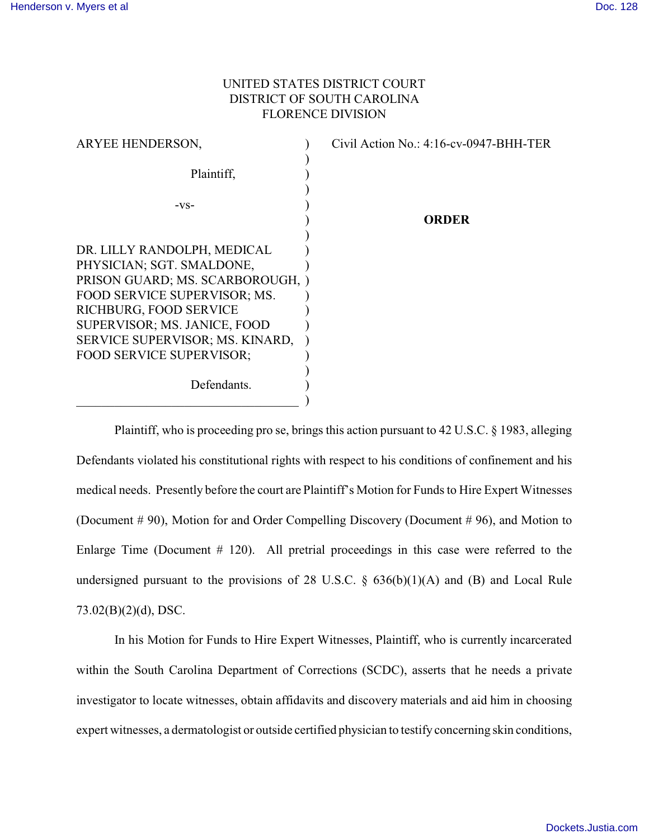## UNITED STATES DISTRICT COURT DISTRICT OF SOUTH CAROLINA FLORENCE DIVISION

| ARYEE HENDERSON,                 | Civil Action No.: $4:16$ -cv-0947-BHH-TER |
|----------------------------------|-------------------------------------------|
| Plaintiff,                       |                                           |
|                                  |                                           |
| $-VS-$                           |                                           |
|                                  | ORDER                                     |
|                                  |                                           |
| DR. LILLY RANDOLPH, MEDICAL      |                                           |
| PHYSICIAN; SGT. SMALDONE,        |                                           |
| PRISON GUARD; MS. SCARBOROUGH, ) |                                           |
| FOOD SERVICE SUPERVISOR; MS.     |                                           |
| RICHBURG, FOOD SERVICE           |                                           |
| SUPERVISOR; MS. JANICE, FOOD     |                                           |
| SERVICE SUPERVISOR; MS. KINARD,  |                                           |
| <b>FOOD SERVICE SUPERVISOR:</b>  |                                           |
|                                  |                                           |
| Defendants.                      |                                           |
|                                  |                                           |

Plaintiff, who is proceeding pro se, brings this action pursuant to 42 U.S.C. § 1983, alleging Defendants violated his constitutional rights with respect to his conditions of confinement and his medical needs. Presently before the court are Plaintiff's Motion for Funds to Hire Expert Witnesses (Document # 90), Motion for and Order Compelling Discovery (Document # 96), and Motion to Enlarge Time (Document # 120). All pretrial proceedings in this case were referred to the undersigned pursuant to the provisions of 28 U.S.C.  $\S$  636(b)(1)(A) and (B) and Local Rule 73.02(B)(2)(d), DSC.

In his Motion for Funds to Hire Expert Witnesses, Plaintiff, who is currently incarcerated within the South Carolina Department of Corrections (SCDC), asserts that he needs a private investigator to locate witnesses, obtain affidavits and discovery materials and aid him in choosing expert witnesses, a dermatologist or outside certified physician to testify concerning skin conditions,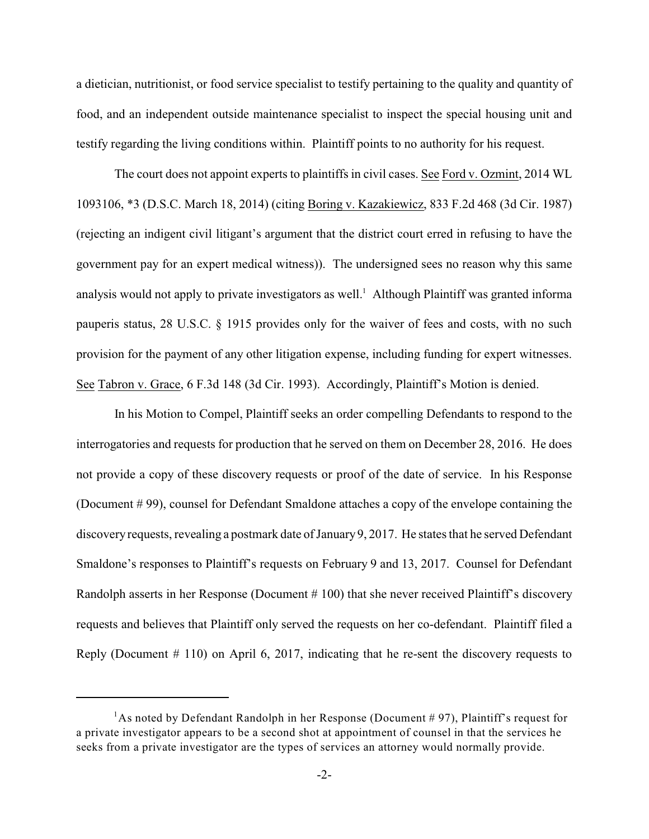a dietician, nutritionist, or food service specialist to testify pertaining to the quality and quantity of food, and an independent outside maintenance specialist to inspect the special housing unit and testify regarding the living conditions within. Plaintiff points to no authority for his request.

The court does not appoint experts to plaintiffs in civil cases. See Ford v. Ozmint, 2014 WL 1093106, \*3 (D.S.C. March 18, 2014) (citing Boring v. Kazakiewicz, 833 F.2d 468 (3d Cir. 1987) (rejecting an indigent civil litigant's argument that the district court erred in refusing to have the government pay for an expert medical witness)). The undersigned sees no reason why this same analysis would not apply to private investigators as well.<sup>1</sup> Although Plaintiff was granted informa pauperis status, 28 U.S.C. § 1915 provides only for the waiver of fees and costs, with no such provision for the payment of any other litigation expense, including funding for expert witnesses. See Tabron v. Grace, 6 F.3d 148 (3d Cir. 1993). Accordingly, Plaintiff's Motion is denied.

In his Motion to Compel, Plaintiff seeks an order compelling Defendants to respond to the interrogatories and requests for production that he served on them on December 28, 2016. He does not provide a copy of these discovery requests or proof of the date of service. In his Response (Document # 99), counsel for Defendant Smaldone attaches a copy of the envelope containing the discovery requests, revealing a postmark date of January 9, 2017. He states that he served Defendant Smaldone's responses to Plaintiff's requests on February 9 and 13, 2017. Counsel for Defendant Randolph asserts in her Response (Document # 100) that she never received Plaintiff's discovery requests and believes that Plaintiff only served the requests on her co-defendant. Plaintiff filed a Reply (Document # 110) on April 6, 2017, indicating that he re-sent the discovery requests to

<sup>&</sup>lt;sup>1</sup>As noted by Defendant Randolph in her Response (Document #97), Plaintiff's request for a private investigator appears to be a second shot at appointment of counsel in that the services he seeks from a private investigator are the types of services an attorney would normally provide.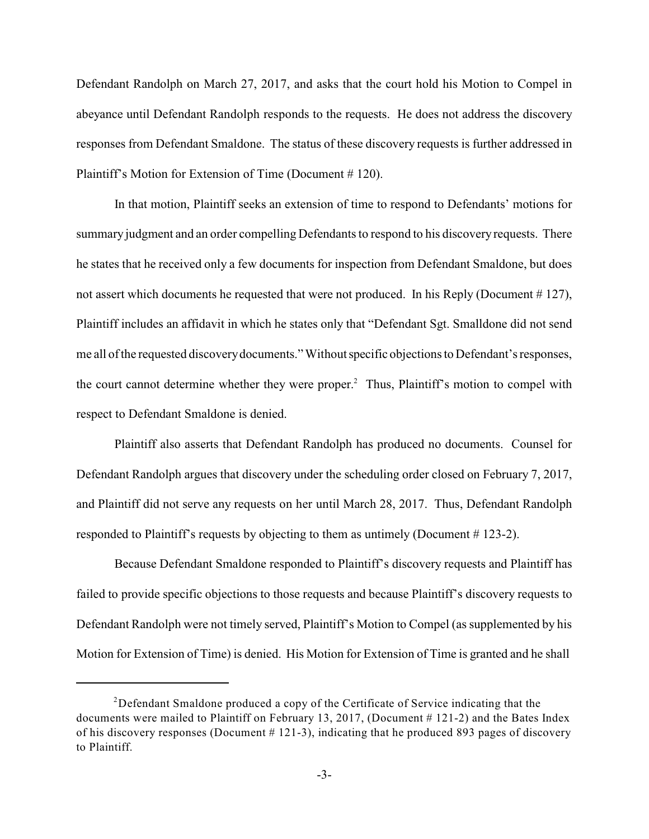Defendant Randolph on March 27, 2017, and asks that the court hold his Motion to Compel in abeyance until Defendant Randolph responds to the requests. He does not address the discovery responses from Defendant Smaldone. The status of these discovery requests is further addressed in Plaintiff's Motion for Extension of Time (Document # 120).

In that motion, Plaintiff seeks an extension of time to respond to Defendants' motions for summary judgment and an order compelling Defendants to respond to his discovery requests. There he states that he received only a few documents for inspection from Defendant Smaldone, but does not assert which documents he requested that were not produced. In his Reply (Document # 127), Plaintiff includes an affidavit in which he states only that "Defendant Sgt. Smalldone did not send me all of the requested discoverydocuments." Without specific objections to Defendant's responses, the court cannot determine whether they were proper.<sup>2</sup> Thus, Plaintiff's motion to compel with respect to Defendant Smaldone is denied.

Plaintiff also asserts that Defendant Randolph has produced no documents. Counsel for Defendant Randolph argues that discovery under the scheduling order closed on February 7, 2017, and Plaintiff did not serve any requests on her until March 28, 2017. Thus, Defendant Randolph responded to Plaintiff's requests by objecting to them as untimely (Document # 123-2).

Because Defendant Smaldone responded to Plaintiff's discovery requests and Plaintiff has failed to provide specific objections to those requests and because Plaintiff's discovery requests to Defendant Randolph were not timely served, Plaintiff's Motion to Compel (as supplemented by his Motion for Extension of Time) is denied. His Motion for Extension of Time is granted and he shall

 $2$ Defendant Smaldone produced a copy of the Certificate of Service indicating that the documents were mailed to Plaintiff on February 13, 2017, (Document  $\#$  121-2) and the Bates Index of his discovery responses (Document  $# 121-3$ ), indicating that he produced 893 pages of discovery to Plaintiff.